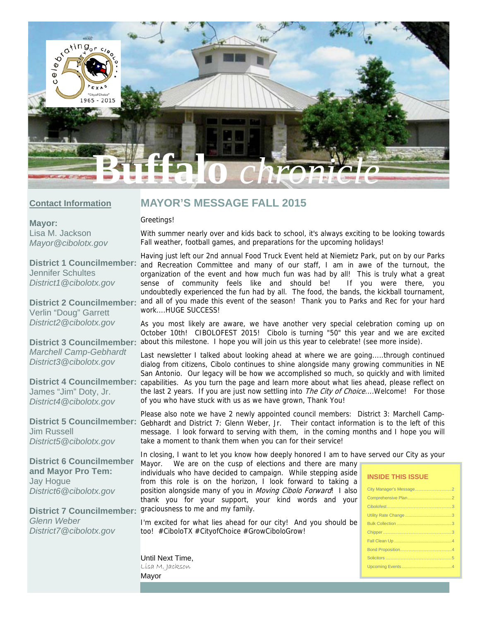

### **Contact Information**

# **MAYOR'S MESSAGE FALL 2015**

### Greetings!

**Mayor:**  Lisa M. Jackson *Mayor@cibolotx.gov* 

**District 1 Councilmember:**  Jennifer Schultes *District1@cibolotx.gov* 

**District 2 Councilmember:**  Verlin "Doug" Garrett *District2@cibolotx.gov* 

*Marchell Camp-Gebhardt District3@cibolotx.gov* 

James "Jim" Doty, Jr. *District4@cibolotx.gov* 

**District 5 Councilmember:**  Jim Russell *District5@cibolotx.gov* 

**District 6 Councilmember and Mayor Pro Tem:**  Jay Hogue *District6@cibolotx.gov* 

District 7 Councilmember: graciousness to me and my family. *Glenn Weber District7@cibolotx.gov*

With summer nearly over and kids back to school, it's always exciting to be looking towards Fall weather, football games, and preparations for the upcoming holidays!

Having just left our 2nd annual Food Truck Event held at Niemietz Park, put on by our Parks and Recreation Committee and many of our staff, I am in awe of the turnout, the organization of the event and how much fun was had by all! This is truly what a great sense of community feels like and should be! If you were there, you undoubtedly experienced the fun had by all. The food, the bands, the kickball tournament, and all of you made this event of the season! Thank you to Parks and Rec for your hard work....HUGE SUCCESS!

As you most likely are aware, we have another very special celebration coming up on October 10th! CIBOLOFEST 2015! Cibolo is turning "50" this year and we are excited District 3 Councilmember: about this milestone. I hope you will join us this year to celebrate! (see more inside).

Last newsletter I talked about looking ahead at where we are going.....through continued dialog from citizens, Cibolo continues to shine alongside many growing communities in NE San Antonio. Our legacy will be how we accomplished so much, so quickly and with limited District 4 Councilmember: capabilities. As you turn the page and learn more about what lies ahead, please reflect on the last 2 years. If you are just now settling into *The City of Choice...*.Welcome! For those of you who have stuck with us as we have grown, Thank You!

> Please also note we have 2 newly appointed council members: District 3: Marchell Camp-Gebhardt and District 7: Glenn Weber, Jr. Their contact information is to the left of this message. I look forward to serving with them, in the coming months and I hope you will take a moment to thank them when you can for their service!

> In closing, I want to let you know how deeply honored I am to have served our City as your Mayor. We are on the cusp of elections and there are many

individuals who have decided to campaign. While stepping aside from this role is on the horizon, I look forward to taking a position alongside many of you in Moving Cibolo Forward! I also thank you for your support, your kind words and your

I'm excited for what lies ahead for our city! And you should be too! #CiboloTX #CityofChoice #GrowCiboloGrow!

#### **INSIDE THIS ISSUE**

Until Next Time, Lisa M. Jackson Mayor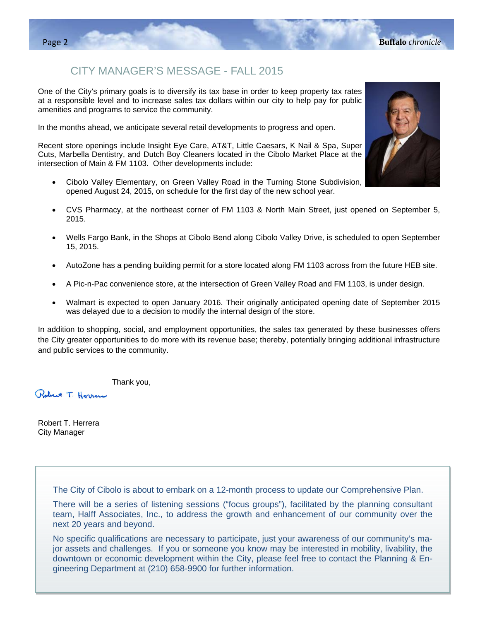## CITY MANAGER'S MESSAGE - FALL 2015

One of the City's primary goals is to diversify its tax base in order to keep property tax rates at a responsible level and to increase sales tax dollars within our city to help pay for public amenities and programs to service the community.

In the months ahead, we anticipate several retail developments to progress and open.

Recent store openings include Insight Eye Care, AT&T, Little Caesars, K Nail & Spa, Super Cuts, Marbella Dentistry, and Dutch Boy Cleaners located in the Cibolo Market Place at the intersection of Main & FM 1103. Other developments include:

- Cibolo Valley Elementary, on Green Valley Road in the Turning Stone Subdivision, opened August 24, 2015, on schedule for the first day of the new school year.
- CVS Pharmacy, at the northeast corner of FM 1103 & North Main Street, just opened on September 5, 2015.
- Wells Fargo Bank, in the Shops at Cibolo Bend along Cibolo Valley Drive, is scheduled to open September 15, 2015.
- AutoZone has a pending building permit for a store located along FM 1103 across from the future HEB site.
- A Pic-n-Pac convenience store, at the intersection of Green Valley Road and FM 1103, is under design.
- Walmart is expected to open January 2016. Their originally anticipated opening date of September 2015 was delayed due to a decision to modify the internal design of the store.

In addition to shopping, social, and employment opportunities, the sales tax generated by these businesses offers the City greater opportunities to do more with its revenue base; thereby, potentially bringing additional infrastructure and public services to the community.

Thank you,

Robert T. Herren

Robert T. Herrera City Manager

The City of Cibolo is about to embark on a 12-month process to update our Comprehensive Plan.

There will be a series of listening sessions ("focus groups"), facilitated by the planning consultant team, Halff Associates, Inc., to address the growth and enhancement of our community over the next 20 years and beyond.

No specific qualifications are necessary to participate, just your awareness of our community's major assets and challenges. If you or someone you know may be interested in mobility, livability, the downtown or economic development within the City, please feel free to contact the Planning & Engineering Department at (210) 658-9900 for further information.

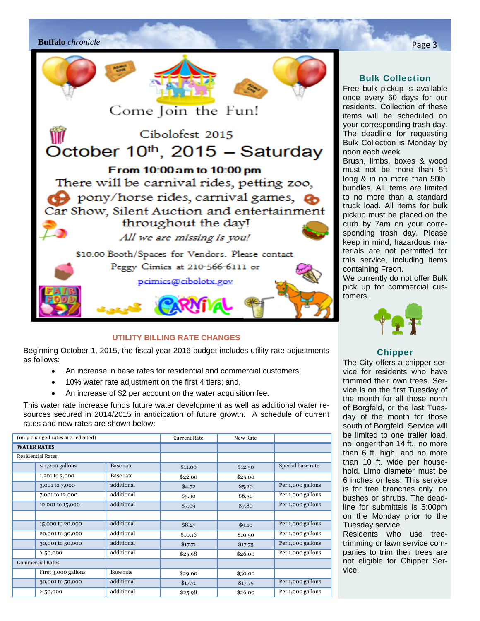

### **UTILITY BILLING RATE CHANGES**

Beginning October 1, 2015, the fiscal year 2016 budget includes utility rate adjustments as follows:

- An increase in base rates for residential and commercial customers;
- 10% water rate adjustment on the first 4 tiers; and,
- An increase of \$2 per account on the water acquisition fee.

This water rate increase funds future water development as well as additional water resources secured in 2014/2015 in anticipation of future growth. A schedule of current rates and new rates are shown below:

|                          | (only changed rates are reflected) |            | <b>Current Rate</b> | New Rate |                   |
|--------------------------|------------------------------------|------------|---------------------|----------|-------------------|
| <b>WATER RATES</b>       |                                    |            |                     |          |                   |
| <b>Residential Rates</b> |                                    |            |                     |          |                   |
|                          | $\leq$ 1,200 gallons               | Base rate  | \$11.00             | \$12.50  | Special base rate |
|                          | 1,201 to 3,000                     | Base rate  | \$22.00             | \$25.00  |                   |
|                          | 3,001 to 7,000                     | additional | \$4.72              | \$5.20   | Per 1,000 gallons |
|                          | 7,001 to 12,000                    | additional | \$5.90              | \$6.50   | Per 1,000 gallons |
|                          | 12,001 to 15,000                   | additional | \$7.09              | \$7.80   | Per 1,000 gallons |
|                          |                                    |            |                     |          |                   |
|                          | 15,000 to 20,000                   | additional | \$8.27              | \$9.10   | Per 1,000 gallons |
|                          | 20,001 to 30,000                   | additional | \$10.16             | \$10.50  | Per 1,000 gallons |
|                          | 30,001 to 50,000                   | additional | \$17.71             | \$17.75  | Per 1,000 gallons |
|                          | > 50,000                           | additional | \$25.98             | \$26.00  | Per 1,000 gallons |
| <b>Commercial Rates</b>  |                                    |            |                     |          |                   |
|                          | First 3,000 gallons                | Base rate  | \$29.00             | \$30.00  |                   |
|                          | 30,001 to 50,000                   | additional | \$17.71             | \$17.75  | Per 1,000 gallons |
|                          | > 50,000                           | additional | \$25.98             | \$26.00  | Per 1,000 gallons |

### Bulk Collection

Free bulk pickup is available once every 60 days for our residents. Collection of these items will be scheduled on your corresponding trash day. The deadline for requesting Bulk Collection is Monday by noon each week.

Brush, limbs, boxes & wood must not be more than 5ft long & in no more than 50lb. bundles. All items are limited to no more than a standard truck load. All items for bulk pickup must be placed on the curb by 7am on your corresponding trash day. Please keep in mind, hazardous materials are not permitted for this service, including items containing Freon.

We currently do not offer Bulk pick up for commercial customers.



### Chipper

The City offers a chipper service for residents who have trimmed their own trees. Service is on the first Tuesday of the month for all those north of Borgfeld, or the last Tuesday of the month for those south of Borgfeld. Service will be limited to one trailer load, no longer than 14 ft., no more than 6 ft. high, and no more than 10 ft. wide per household. Limb diameter must be 6 inches or less. This service is for tree branches only, no bushes or shrubs. The deadline for submittals is 5:00pm on the Monday prior to the Tuesday service.

Residents who use treetrimming or lawn service companies to trim their trees are not eligible for Chipper Service.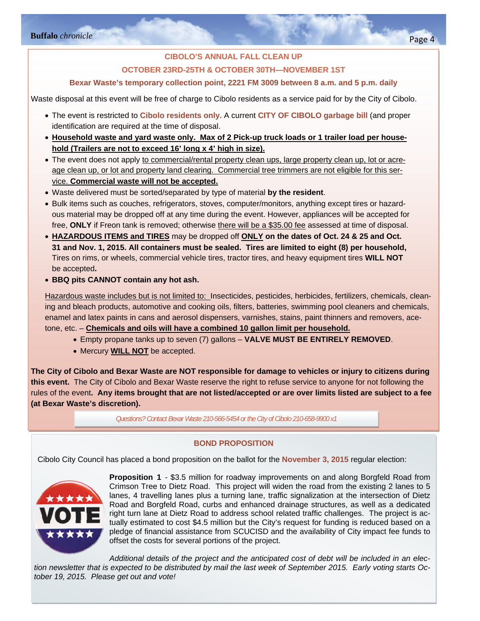### **CIBOLO'S ANNUAL FALL CLEAN UP OCTOBER 23RD-25TH & OCTOBER 30TH—NOVEMBER 1ST**

### **Bexar Waste's temporary collection point, 2221 FM 3009 between 8 a.m. and 5 p.m. daily**

Waste disposal at this event will be free of charge to Cibolo residents as a service paid for by the City of Cibolo.

- The event is restricted to **Cibolo residents only.** A current **CITY OF CIBOLO garbage bill** (and proper identification are required at the time of disposal.
- **Household waste and yard waste only. Max of 2 Pick-up truck loads or 1 trailer load per household (Trailers are not to exceed 16' long x 4' high in size).**
- The event does not apply to commercial/rental property clean ups, large property clean up, lot or acreage clean up, or lot and property land clearing. Commercial tree trimmers are not eligible for this service. **Commercial waste will not be accepted.**
- Waste delivered must be sorted/separated by type of material **by the resident**.
- Bulk items such as couches, refrigerators, stoves, computer/monitors, anything except tires or hazardous material may be dropped off at any time during the event. However, appliances will be accepted for free, **ONLY** if Freon tank is removed; otherwise there will be a \$35.00 fee assessed at time of disposal.
- **HAZARDOUS ITEMS and TIRES** may be dropped off **ONLY on the dates of Oct. 24 & 25 and Oct. 31 and Nov. 1, 2015. All containers must be sealed. Tires are limited to eight (8) per household,**  Tires on rims, or wheels, commercial vehicle tires, tractor tires, and heavy equipment tires **WILL NOT** be accepted**.**
- **BBQ pits CANNOT contain any hot ash.**

Hazardous waste includes but is not limited to: Insecticides, pesticides, herbicides, fertilizers, chemicals, cleaning and bleach products, automotive and cooking oils, filters, batteries, swimming pool cleaners and chemicals, enamel and latex paints in cans and aerosol dispensers, varnishes, stains, paint thinners and removers, acetone, etc. – **Chemicals and oils will have a combined 10 gallon limit per household.**

- Empty propane tanks up to seven (7) gallons **VALVE MUST BE ENTIRELY REMOVED**.
- Mercury **WILL NOT** be accepted.

**The City of Cibolo and Bexar Waste are NOT responsible for damage to vehicles or injury to citizens during this event.** The City of Cibolo and Bexar Waste reserve the right to refuse service to anyone for not following the rules of the event**. Any items brought that are not listed/accepted or are over limits listed are subject to a fee (at Bexar Waste's discretion).** 

*Questions? Contact Bexar Waste 210-566-5454 or the City of Cibolo 210-658-9900 x1* 

### **BOND PROPOSITION**

Cibolo City Council has placed a bond proposition on the ballot for the **November 3, 2015** regular election:



**Proposition 1** - \$3.5 million for roadway improvements on and along Borgfeld Road from Crimson Tree to Dietz Road. This project will widen the road from the existing 2 lanes to 5 lanes, 4 travelling lanes plus a turning lane, traffic signalization at the intersection of Dietz Road and Borgfeld Road, curbs and enhanced drainage structures, as well as a dedicated right turn lane at Dietz Road to address school related traffic challenges. The project is actually estimated to cost \$4.5 million but the City's request for funding is reduced based on a pledge of financial assistance from SCUCISD and the availability of City impact fee funds to offset the costs for several portions of the project.

*Additional details of the project and the anticipated cost of debt will be included in an election newsletter that is expected to be distributed by mail the last week of September 2015. Early voting starts October 19, 2015. Please get out and vote!*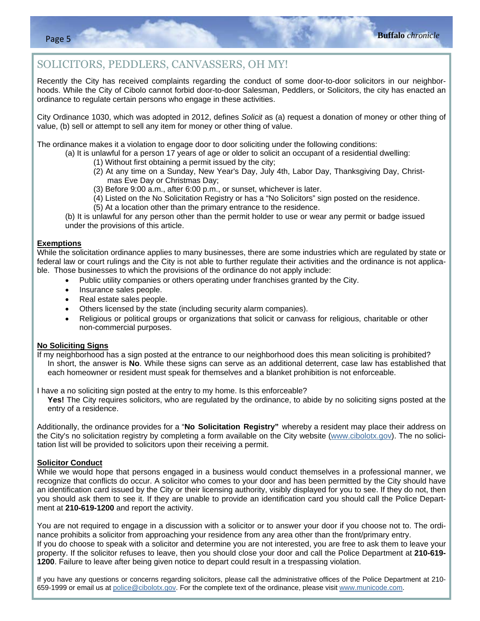### SOLICITORS, PEDDLERS, CANVASSERS, OH MY!

Recently the City has received complaints regarding the conduct of some door-to-door solicitors in our neighborhoods. While the City of Cibolo cannot forbid door-to-door Salesman, Peddlers, or Solicitors, the city has enacted an ordinance to regulate certain persons who engage in these activities.

City Ordinance 1030, which was adopted in 2012, defines *Solicit* as (a) request a donation of money or other thing of value, (b) sell or attempt to sell any item for money or other thing of value.

The ordinance makes it a violation to engage door to door soliciting under the following conditions:

- (a) It is unlawful for a person 17 years of age or older to solicit an occupant of a residential dwelling:
	- (1) Without first obtaining a permit issued by the city;
	- (2) At any time on a Sunday, New Year's Day, July 4th, Labor Day, Thanksgiving Day, Christmas Eve Day or Christmas Day;
	- (3) Before 9:00 a.m., after 6:00 p.m., or sunset, whichever is later.
	- (4) Listed on the No Solicitation Registry or has a "No Solicitors" sign posted on the residence.
	- (5) At a location other than the primary entrance to the residence.

(b) It is unlawful for any person other than the permit holder to use or wear any permit or badge issued under the provisions of this article.

#### **Exemptions**

While the solicitation ordinance applies to many businesses, there are some industries which are regulated by state or federal law or court rulings and the City is not able to further regulate their activities and the ordinance is not applicable. Those businesses to which the provisions of the ordinance do not apply include:

- Public utility companies or others operating under franchises granted by the City.
- Insurance sales people.
- Real estate sales people.
- Others licensed by the state (including security alarm companies).
- Religious or political groups or organizations that solicit or canvass for religious, charitable or other non-commercial purposes.

#### **No Soliciting Signs**

If my neighborhood has a sign posted at the entrance to our neighborhood does this mean soliciting is prohibited? In short, the answer is **No**. While these signs can serve as an additional deterrent, case law has established that each homeowner or resident must speak for themselves and a blanket prohibition is not enforceable.

I have a no soliciting sign posted at the entry to my home. Is this enforceable?

**Yes!** The City requires solicitors, who are regulated by the ordinance, to abide by no soliciting signs posted at the entry of a residence.

Additionally, the ordinance provides for a "**No Solicitation Registry"** whereby a resident may place their address on the City's no solicitation registry by completing a form available on the City website (www.cibolotx.gov). The no solicitation list will be provided to solicitors upon their receiving a permit.

#### **Solicitor Conduct**

While we would hope that persons engaged in a business would conduct themselves in a professional manner, we recognize that conflicts do occur. A solicitor who comes to your door and has been permitted by the City should have an identification card issued by the City or their licensing authority, visibly displayed for you to see. If they do not, then you should ask them to see it. If they are unable to provide an identification card you should call the Police Department at **210-619-1200** and report the activity.

You are not required to engage in a discussion with a solicitor or to answer your door if you choose not to. The ordinance prohibits a solicitor from approaching your residence from any area other than the front/primary entry. If you do choose to speak with a solicitor and determine you are not interested, you are free to ask them to leave your property. If the solicitor refuses to leave, then you should close your door and call the Police Department at **210-619- 1200**. Failure to leave after being given notice to depart could result in a trespassing violation.

If you have any questions or concerns regarding solicitors, please call the administrative offices of the Police Department at 210- 659-1999 or email us at police@cibolotx.gov. For the complete text of the ordinance, please visit www.municode.com.